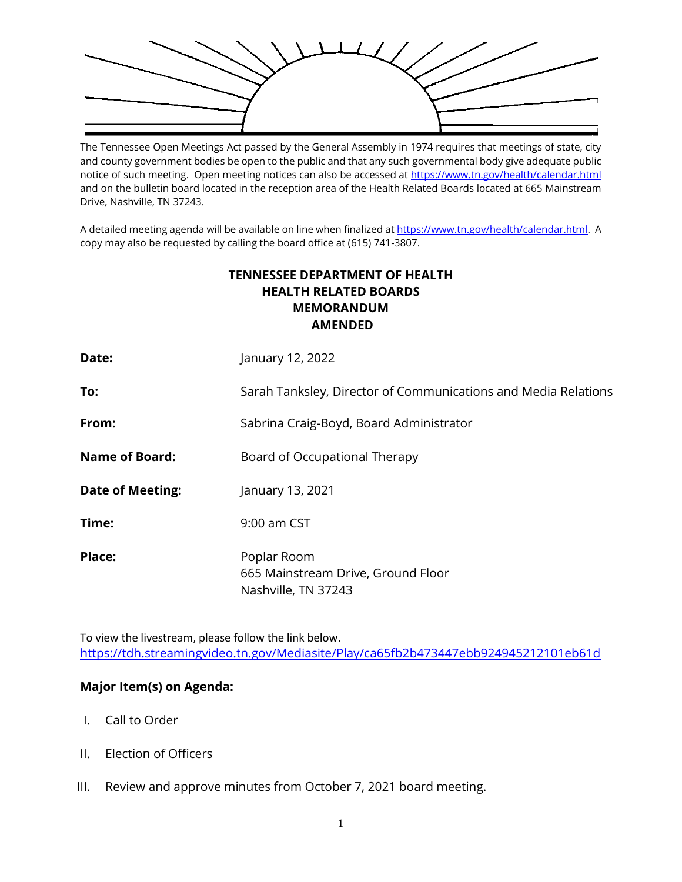

The Tennessee Open Meetings Act passed by the General Assembly in 1974 requires that meetings of state, city and county government bodies be open to the public and that any such governmental body give adequate public notice of such meeting. Open meeting notices can also be accessed a[t https://www.tn.gov/health/calendar.html](https://www.tn.gov/health/calendar.html) and on the bulletin board located in the reception area of the Health Related Boards located at 665 Mainstream Drive, Nashville, TN 37243.

A detailed meeting agenda will be available on line when finalized a[t https://www.tn.gov/health/calendar.html.](https://www.tn.gov/health/calendar.html) A copy may also be requested by calling the board office at (615) 741-3807.

## **TENNESSEE DEPARTMENT OF HEALTH HEALTH RELATED BOARDS MEMORANDUM AMENDED**

| Date:                   | January 12, 2022                                                         |
|-------------------------|--------------------------------------------------------------------------|
| To:                     | Sarah Tanksley, Director of Communications and Media Relations           |
| From:                   | Sabrina Craig-Boyd, Board Administrator                                  |
| <b>Name of Board:</b>   | Board of Occupational Therapy                                            |
| <b>Date of Meeting:</b> | January 13, 2021                                                         |
| Time:                   | 9:00 am CST                                                              |
| Place:                  | Poplar Room<br>665 Mainstream Drive, Ground Floor<br>Nashville, TN 37243 |

To view the livestream, please follow the link below. <https://tdh.streamingvideo.tn.gov/Mediasite/Play/ca65fb2b473447ebb924945212101eb61d>

## **Major Item(s) on Agenda:**

- I. Call to Order
- II. Election of Officers
- III. Review and approve minutes from October 7, 2021 board meeting.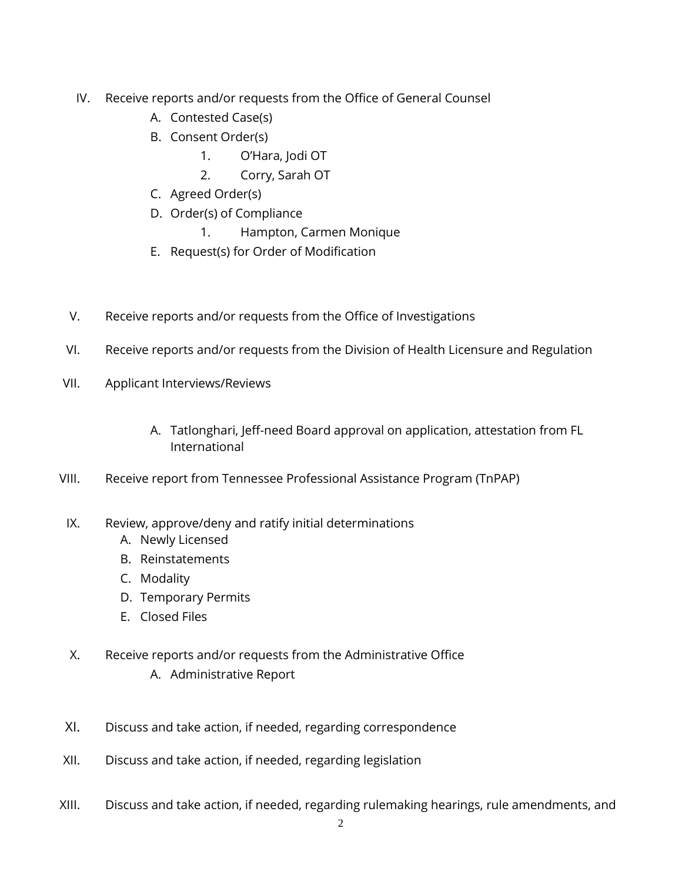- IV. Receive reports and/or requests from the Office of General Counsel
	- A. Contested Case(s)
	- B. Consent Order(s)
		- 1. O'Hara, Jodi OT
		- 2. Corry, Sarah OT
	- C. Agreed Order(s)
	- D. Order(s) of Compliance
		- 1. Hampton, Carmen Monique
	- E. Request(s) for Order of Modification
- V. Receive reports and/or requests from the Office of Investigations
- VI. Receive reports and/or requests from the Division of Health Licensure and Regulation
- VII. Applicant Interviews/Reviews
	- A. Tatlonghari, Jeff-need Board approval on application, attestation from FL International
- VIII. Receive report from Tennessee Professional Assistance Program (TnPAP)
- IX. Review, approve/deny and ratify initial determinations
	- A. Newly Licensed
	- B. Reinstatements
	- C. Modality
	- D. Temporary Permits
	- E. Closed Files
- X. Receive reports and/or requests from the Administrative Office A. Administrative Report
- XI. Discuss and take action, if needed, regarding correspondence
- XII. Discuss and take action, if needed, regarding legislation
- XIII. Discuss and take action, if needed, regarding rulemaking hearings, rule amendments, and